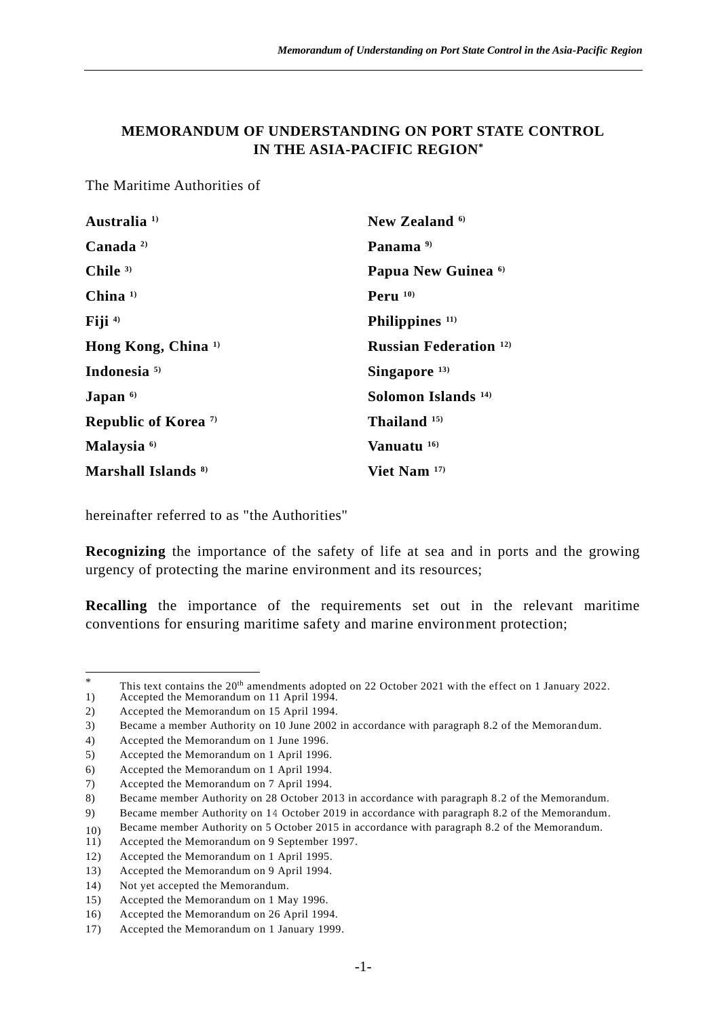## **MEMORANDUM OF UNDERSTANDING ON PORT STATE CONTROL IN THE ASIA-PACIFIC REGION\***

The Maritime Authorities of

| Australia <sup>1)</sup>                | New Zealand <sup>6</sup>       |
|----------------------------------------|--------------------------------|
| Canada $2$                             | Panama <sup>9)</sup>           |
| Chile $3$                              | Papua New Guinea <sup>6)</sup> |
| China $1$                              | Peru $10$                      |
| Fiji $4$                               | Philippines <sup>11)</sup>     |
| Hong Kong, China <sup>1)</sup>         | <b>Russian Federation</b> 12)  |
| Indonesia <sup>5)</sup>                | Singapore <sup>13)</sup>       |
| Japan <sup>6</sup>                     | Solomon Islands <sup>14)</sup> |
| <b>Republic of Korea</b> <sup>7)</sup> | Thailand <sup>15)</sup>        |
| Malaysia <sup>6</sup>                  | Vanuatu <sup>16)</sup>         |
| <b>Marshall Islands</b> <sup>8)</sup>  | Viet Nam $17$                  |

hereinafter referred to as "the Authorities"

**Recognizing** the importance of the safety of life at sea and in ports and the growing urgency of protecting the marine environment and its resources;

**Recalling** the importance of the requirements set out in the relevant maritime conventions for ensuring maritime safety and marine environment protection;

<sup>&</sup>lt;sup>\*</sup> This text contains the  $20^{th}$  amendments adopted on 22 October 2021 with the effect on 1 January 2022.<br>1) Accepted the Memorandum on 11 April 1994.

<sup>1)</sup> Accepted the Memorandum on 11 April 1994.

<sup>2)</sup> Accepted the Memorandum on 15 April 1994.

<sup>3)</sup> Became a member Authority on 10 June 2002 in accordance with paragraph 8.2 of the Memoran dum.

<sup>4)</sup> Accepted the Memorandum on 1 June 1996.

<sup>5)</sup> Accepted the Memorandum on 1 April 1996.

<sup>6)</sup> Accepted the Memorandum on 1 April 1994.

<sup>7)</sup> Accepted the Memorandum on 7 April 1994.

<sup>8)</sup> Became member Authority on 28 October 2013 in accordance with paragraph 8.2 of the Memorandum.

<sup>9)</sup> Became member Authority on 14 October 2019 in accordance with paragraph 8.2 of the Memorandum.

<sup>10)</sup> Became member Authority on 5 October 2015 in accordance with paragraph 8.2 of the Memorandum.<br>11) Accepted the Memorandum on 9 September 1997.

Accepted the Memorandum on 9 September 1997.

<sup>12)</sup> Accepted the Memorandum on 1 April 1995.

<sup>13)</sup> Accepted the Memorandum on 9 April 1994.

<sup>14)</sup> Not yet accepted the Memorandum.

<sup>15)</sup> Accepted the Memorandum on 1 May 1996.

<sup>16)</sup> Accepted the Memorandum on 26 April 1994.

<sup>17)</sup> Accepted the Memorandum on 1 January 1999.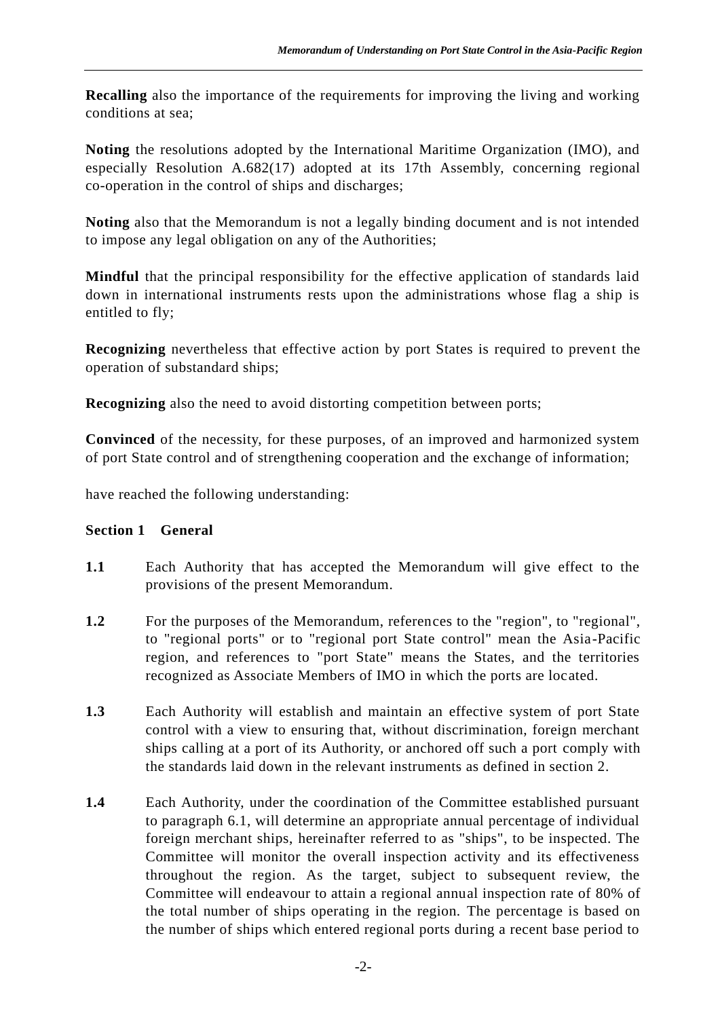**Recalling** also the importance of the requirements for improving the living and working conditions at sea;

**Noting** the resolutions adopted by the International Maritime Organization (IMO), and especially Resolution A.682(17) adopted at its 17th Assembly, concerning regional co-operation in the control of ships and discharges;

**Noting** also that the Memorandum is not a legally binding document and is not intended to impose any legal obligation on any of the Authorities;

**Mindful** that the principal responsibility for the effective application of standards laid down in international instruments rests upon the administrations whose flag a ship is entitled to fly;

**Recognizing** nevertheless that effective action by port States is required to prevent the operation of substandard ships;

**Recognizing** also the need to avoid distorting competition between ports;

**Convinced** of the necessity, for these purposes, of an improved and harmonized system of port State control and of strengthening cooperation and the exchange of information;

have reached the following understanding:

# **Section 1 General**

- **1.1** Each Authority that has accepted the Memorandum will give effect to the provisions of the present Memorandum.
- **1.2** For the purposes of the Memorandum, references to the "region", to "regional", to "regional ports" or to "regional port State control" mean the Asia-Pacific region, and references to "port State" means the States, and the territories recognized as Associate Members of IMO in which the ports are located.
- **1.3** Each Authority will establish and maintain an effective system of port State control with a view to ensuring that, without discrimination, foreign merchant ships calling at a port of its Authority, or anchored off such a port comply with the standards laid down in the relevant instruments as defined in section 2.
- **1.4** Each Authority, under the coordination of the Committee established pursuant to paragraph 6.1, will determine an appropriate annual percentage of individual foreign merchant ships, hereinafter referred to as "ships", to be inspected. The Committee will monitor the overall inspection activity and its effectiveness throughout the region. As the target, subject to subsequent review, the Committee will endeavour to attain a regional annual inspection rate of 80% of the total number of ships operating in the region. The percentage is based on the number of ships which entered regional ports during a recent base period to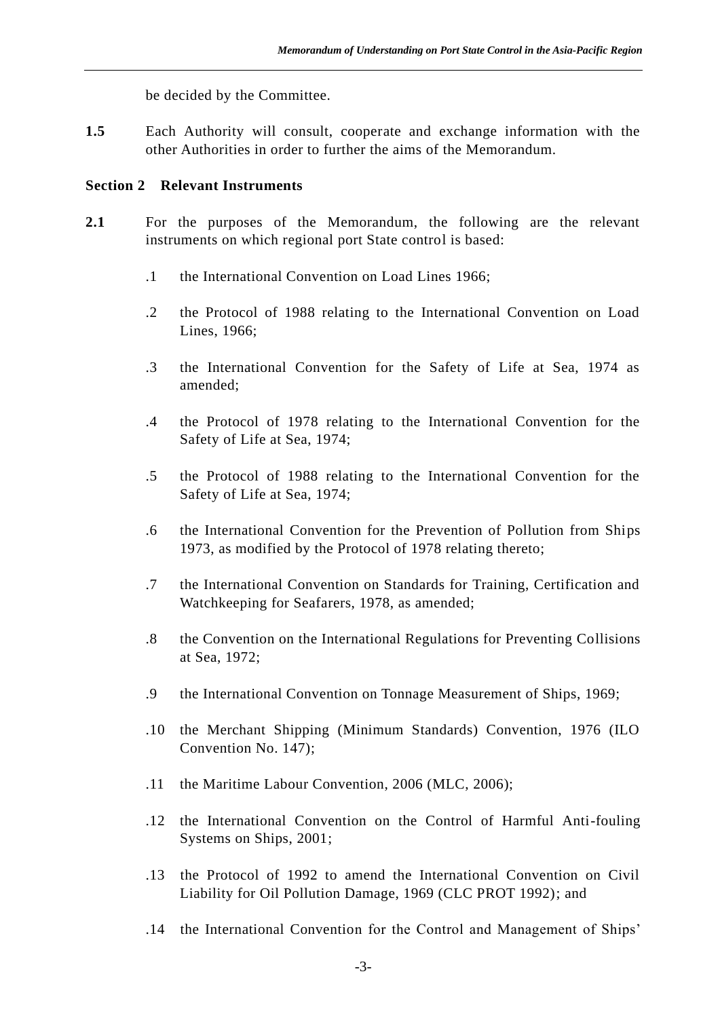be decided by the Committee.

**1.5** Each Authority will consult, cooperate and exchange information with the other Authorities in order to further the aims of the Memorandum.

## **Section 2 Relevant Instruments**

- **2.1** For the purposes of the Memorandum, the following are the relevant instruments on which regional port State control is based:
	- .1 the International Convention on Load Lines 1966;
	- .2 the Protocol of 1988 relating to the International Convention on Load Lines, 1966;
	- .3 the International Convention for the Safety of Life at Sea, 1974 as amended;
	- .4 the Protocol of 1978 relating to the International Convention for the Safety of Life at Sea, 1974;
	- .5 the Protocol of 1988 relating to the International Convention for the Safety of Life at Sea, 1974;
	- .6 the International Convention for the Prevention of Pollution from Ships 1973, as modified by the Protocol of 1978 relating thereto;
	- .7 the International Convention on Standards for Training, Certification and Watchkeeping for Seafarers, 1978, as amended;
	- .8 the Convention on the International Regulations for Preventing Collisions at Sea, 1972;
	- .9 the International Convention on Tonnage Measurement of Ships, 1969;
	- .10 the Merchant Shipping (Minimum Standards) Convention, 1976 (ILO Convention No. 147);
	- .11 the Maritime Labour Convention, 2006 (MLC, 2006);
	- .12 the International Convention on the Control of Harmful Anti-fouling Systems on Ships, 2001;
	- .13 the Protocol of 1992 to amend the International Convention on Civil Liability for Oil Pollution Damage, 1969 (CLC PROT 1992); and
	- .14 the International Convention for the Control and Management of Ships'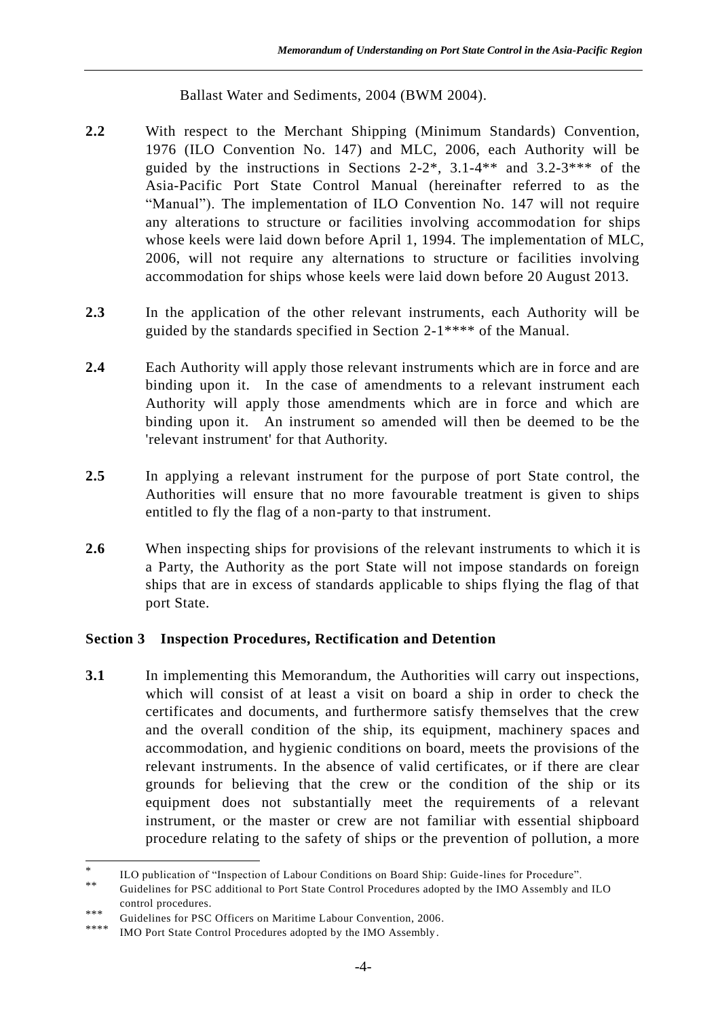Ballast Water and Sediments, 2004 (BWM 2004).

- **2.2** With respect to the Merchant Shipping (Minimum Standards) Convention, 1976 (ILO Convention No. 147) and MLC, 2006, each Authority will be guided by the instructions in Sections  $2-2^*$ ,  $3.1-4^{**}$  and  $3.2-3^{***}$  of the Asia-Pacific Port State Control Manual (hereinafter referred to as the "Manual"). The implementation of ILO Convention No. 147 will not require any alterations to structure or facilities involving accommodation for ships whose keels were laid down before April 1, 1994. The implementation of MLC, 2006, will not require any alternations to structure or facilities involving accommodation for ships whose keels were laid down before 20 August 2013.
- **2.3** In the application of the other relevant instruments, each Authority will be guided by the standards specified in Section 2-1\*\*\*\* of the Manual.
- **2.4** Each Authority will apply those relevant instruments which are in force and are binding upon it. In the case of amendments to a relevant instrument each Authority will apply those amendments which are in force and which are binding upon it. An instrument so amended will then be deemed to be the 'relevant instrument' for that Authority.
- **2.5** In applying a relevant instrument for the purpose of port State control, the Authorities will ensure that no more favourable treatment is given to ships entitled to fly the flag of a non-party to that instrument.
- **2.6** When inspecting ships for provisions of the relevant instruments to which it is a Party, the Authority as the port State will not impose standards on foreign ships that are in excess of standards applicable to ships flying the flag of that port State.

## **Section 3 Inspection Procedures, Rectification and Detention**

**3.1** In implementing this Memorandum, the Authorities will carry out inspections, which will consist of at least a visit on board a ship in order to check the certificates and documents, and furthermore satisfy themselves that the crew and the overall condition of the ship, its equipment, machinery spaces and accommodation, and hygienic conditions on board, meets the provisions of the relevant instruments. In the absence of valid certificates, or if there are clear grounds for believing that the crew or the condition of the ship or its equipment does not substantially meet the requirements of a relevant instrument, or the master or crew are not familiar with essential shipboard procedure relating to the safety of ships or the prevention of pollution, a more

<sup>\*</sup> ILO publication of "Inspection of Labour Conditions on Board Ship: Guide-lines for Procedure".

Guidelines for PSC additional to Port State Control Procedures adopted by the IMO Assembly and ILO control procedures.

<sup>\*\*\*</sup> Guidelines for PSC Officers on Maritime Labour Convention, 2006.

IMO Port State Control Procedures adopted by the IMO Assembly.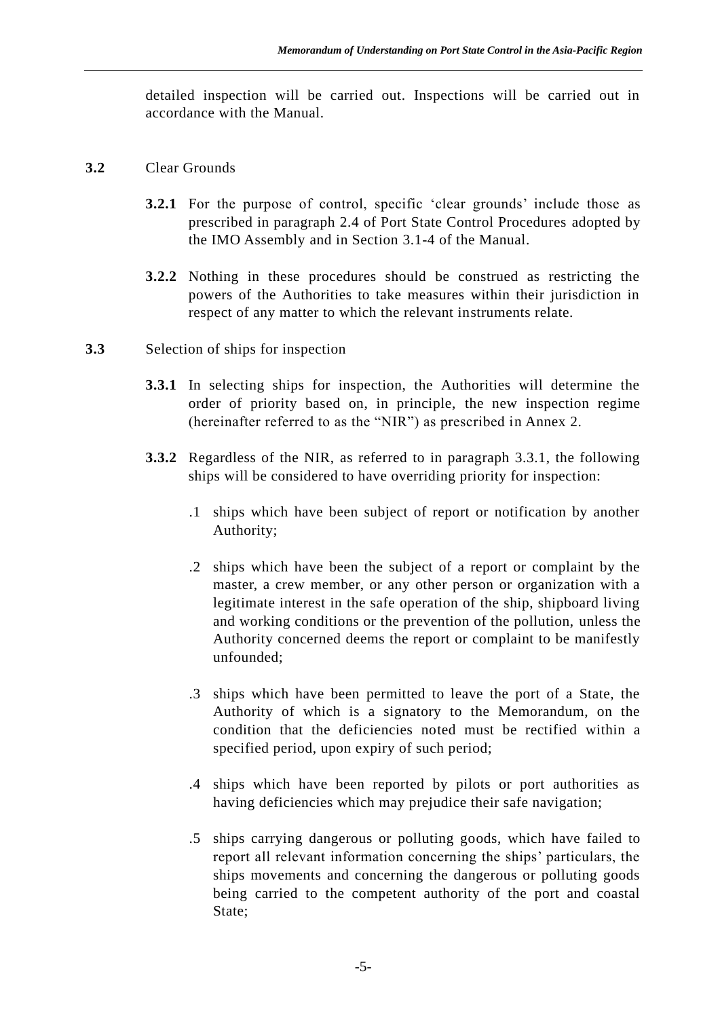detailed inspection will be carried out. Inspections will be carried out in accordance with the Manual.

- **3.2** Clear Grounds
	- **3.2.1** For the purpose of control, specific 'clear grounds' include those as prescribed in paragraph 2.4 of Port State Control Procedures adopted by the IMO Assembly and in Section 3.1-4 of the Manual.
	- **3.2.2** Nothing in these procedures should be construed as restricting the powers of the Authorities to take measures within their jurisdiction in respect of any matter to which the relevant instruments relate.
- **3.3** Selection of ships for inspection
	- **3.3.1** In selecting ships for inspection, the Authorities will determine the order of priority based on, in principle, the new inspection regime (hereinafter referred to as the "NIR") as prescribed in Annex 2.
	- **3.3.2** Regardless of the NIR, as referred to in paragraph 3.3.1, the following ships will be considered to have overriding priority for inspection:
		- .1 ships which have been subject of report or notification by another Authority;
		- .2 ships which have been the subject of a report or complaint by the master, a crew member, or any other person or organization with a legitimate interest in the safe operation of the ship, shipboard living and working conditions or the prevention of the pollution, unless the Authority concerned deems the report or complaint to be manifestly unfounded;
		- .3 ships which have been permitted to leave the port of a State, the Authority of which is a signatory to the Memorandum, on the condition that the deficiencies noted must be rectified within a specified period, upon expiry of such period;
		- .4 ships which have been reported by pilots or port authorities as having deficiencies which may prejudice their safe navigation;
		- .5 ships carrying dangerous or polluting goods, which have failed to report all relevant information concerning the ships' particulars, the ships movements and concerning the dangerous or polluting goods being carried to the competent authority of the port and coastal State;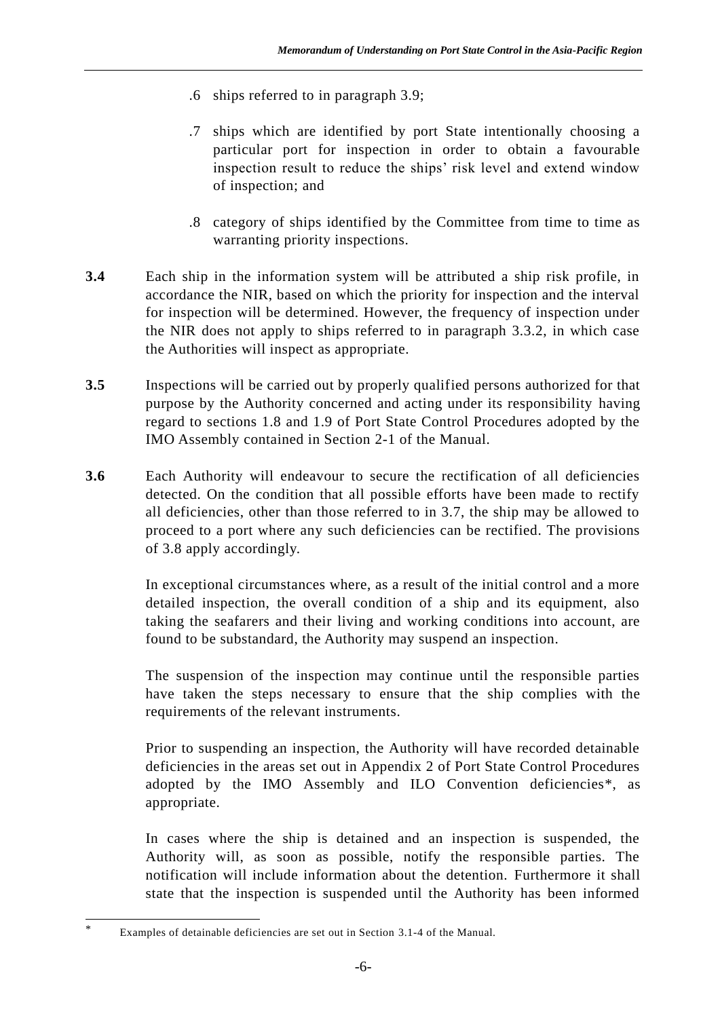- .6 ships referred to in paragraph 3.9;
- .7 ships which are identified by port State intentionally choosing a particular port for inspection in order to obtain a favourable inspection result to reduce the ships' risk level and extend window of inspection; and
- .8 category of ships identified by the Committee from time to time as warranting priority inspections.
- **3.4** Each ship in the information system will be attributed a ship risk profile, in accordance the NIR, based on which the priority for inspection and the interval for inspection will be determined. However, the frequency of inspection under the NIR does not apply to ships referred to in paragraph 3.3.2, in which case the Authorities will inspect as appropriate.
- **3.5** Inspections will be carried out by properly qualified persons authorized for that purpose by the Authority concerned and acting under its responsibility having regard to sections 1.8 and 1.9 of Port State Control Procedures adopted by the IMO Assembly contained in Section 2-1 of the Manual.
- **3.6** Each Authority will endeavour to secure the rectification of all deficiencies detected. On the condition that all possible efforts have been made to rectify all deficiencies, other than those referred to in 3.7, the ship may be allowed to proceed to a port where any such deficiencies can be rectified. The provisions of 3.8 apply accordingly.

In exceptional circumstances where, as a result of the initial control and a more detailed inspection, the overall condition of a ship and its equipment, also taking the seafarers and their living and working conditions into account, are found to be substandard, the Authority may suspend an inspection.

The suspension of the inspection may continue until the responsible parties have taken the steps necessary to ensure that the ship complies with the requirements of the relevant instruments.

Prior to suspending an inspection, the Authority will have recorded detainable deficiencies in the areas set out in Appendix 2 of Port State Control Procedures adopted by the IMO Assembly and ILO Convention deficiencies\*, as appropriate.

In cases where the ship is detained and an inspection is suspended, the Authority will, as soon as possible, notify the responsible parties. The notification will include information about the detention. Furthermore it shall state that the inspection is suspended until the Authority has been informed

Examples of detainable deficiencies are set out in Section 3.1-4 of the Manual.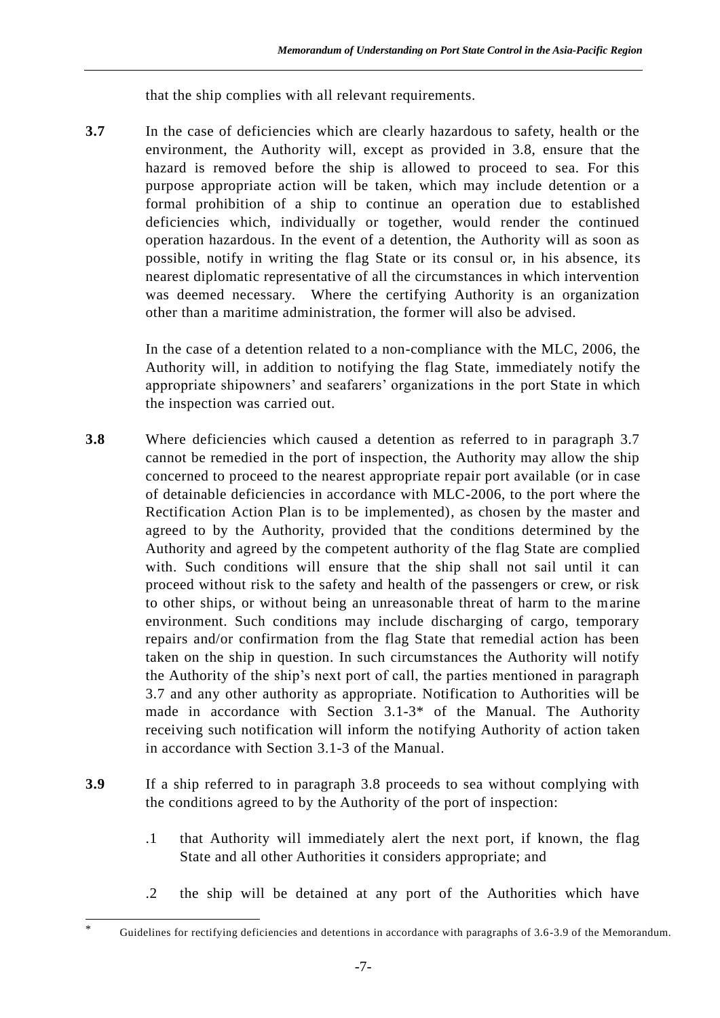that the ship complies with all relevant requirements.

**3.7** In the case of deficiencies which are clearly hazardous to safety, health or the environment, the Authority will, except as provided in 3.8, ensure that the hazard is removed before the ship is allowed to proceed to sea. For this purpose appropriate action will be taken, which may include detention or a formal prohibition of a ship to continue an operation due to established deficiencies which, individually or together, would render the continued operation hazardous. In the event of a detention, the Authority will as soon as possible, notify in writing the flag State or its consul or, in his absence, its nearest diplomatic representative of all the circumstances in which intervention was deemed necessary. Where the certifying Authority is an organization other than a maritime administration, the former will also be advised.

> In the case of a detention related to a non-compliance with the MLC, 2006, the Authority will, in addition to notifying the flag State, immediately notify the appropriate shipowners' and seafarers' organizations in the port State in which the inspection was carried out.

- **3.8** Where deficiencies which caused a detention as referred to in paragraph 3.7 cannot be remedied in the port of inspection, the Authority may allow the ship concerned to proceed to the nearest appropriate repair port available (or in case of detainable deficiencies in accordance with MLC-2006, to the port where the Rectification Action Plan is to be implemented), as chosen by the master and agreed to by the Authority, provided that the conditions determined by the Authority and agreed by the competent authority of the flag State are complied with. Such conditions will ensure that the ship shall not sail until it can proceed without risk to the safety and health of the passengers or crew, or risk to other ships, or without being an unreasonable threat of harm to the marine environment. Such conditions may include discharging of cargo, temporary repairs and/or confirmation from the flag State that remedial action has been taken on the ship in question. In such circumstances the Authority will notify the Authority of the ship's next port of call, the parties mentioned in paragraph 3.7 and any other authority as appropriate. Notification to Authorities will be made in accordance with Section 3.1-3\* of the Manual. The Authority receiving such notification will inform the notifying Authority of action taken in accordance with Section 3.1-3 of the Manual.
- **3.9** If a ship referred to in paragraph 3.8 proceeds to sea without complying with the conditions agreed to by the Authority of the port of inspection:
	- .1 that Authority will immediately alert the next port, if known, the flag State and all other Authorities it considers appropriate; and
	- .2 the ship will be detained at any port of the Authorities which have

Guidelines for rectifying deficiencies and detentions in accordance with paragraphs of 3.6-3.9 of the Memorandum.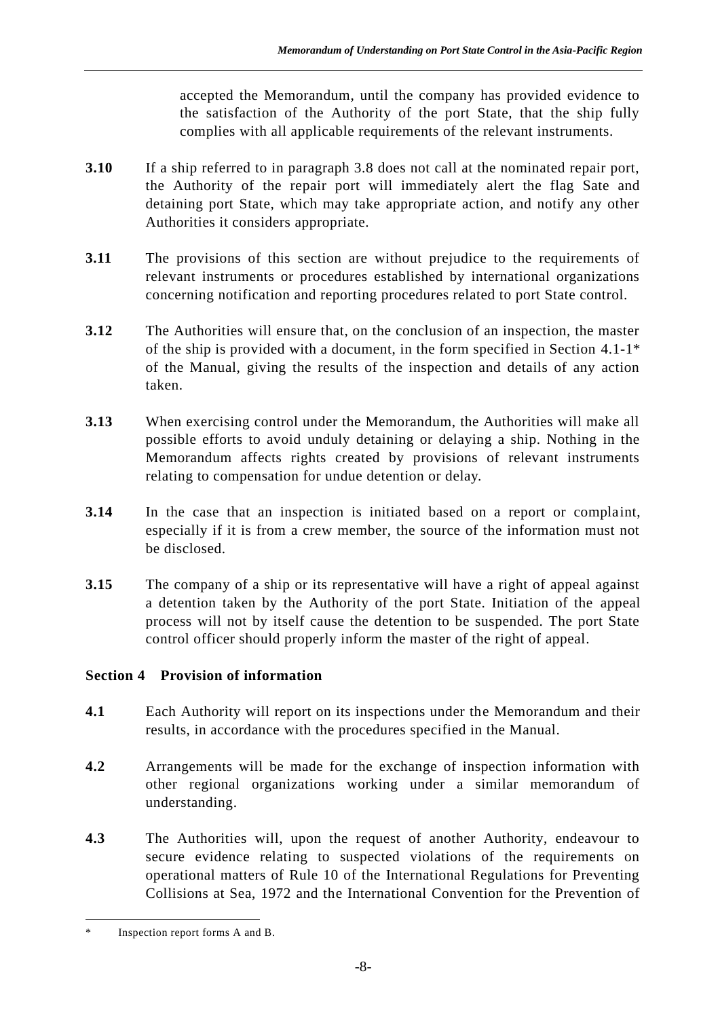accepted the Memorandum, until the company has provided evidence to the satisfaction of the Authority of the port State, that the ship fully complies with all applicable requirements of the relevant instruments.

- **3.10** If a ship referred to in paragraph 3.8 does not call at the nominated repair port, the Authority of the repair port will immediately alert the flag Sate and detaining port State, which may take appropriate action, and notify any other Authorities it considers appropriate.
- **3.11** The provisions of this section are without prejudice to the requirements of relevant instruments or procedures established by international organizations concerning notification and reporting procedures related to port State control.
- **3.12** The Authorities will ensure that, on the conclusion of an inspection, the master of the ship is provided with a document, in the form specified in Section 4.1-1\* of the Manual, giving the results of the inspection and details of any action taken.
- **3.13** When exercising control under the Memorandum, the Authorities will make all possible efforts to avoid unduly detaining or delaying a ship. Nothing in the Memorandum affects rights created by provisions of relevant instruments relating to compensation for undue detention or delay.
- **3.14** In the case that an inspection is initiated based on a report or complaint, especially if it is from a crew member, the source of the information must not be disclosed.
- **3.15** The company of a ship or its representative will have a right of appeal against a detention taken by the Authority of the port State. Initiation of the appeal process will not by itself cause the detention to be suspended. The port State control officer should properly inform the master of the right of appeal.

# **Section 4 Provision of information**

- **4.1** Each Authority will report on its inspections under the Memorandum and their results, in accordance with the procedures specified in the Manual.
- **4.2** Arrangements will be made for the exchange of inspection information with other regional organizations working under a similar memorandum of understanding.
- **4.3** The Authorities will, upon the request of another Authority, endeavour to secure evidence relating to suspected violations of the requirements on operational matters of Rule 10 of the International Regulations for Preventing Collisions at Sea, 1972 and the International Convention for the Prevention of

Inspection report forms A and B.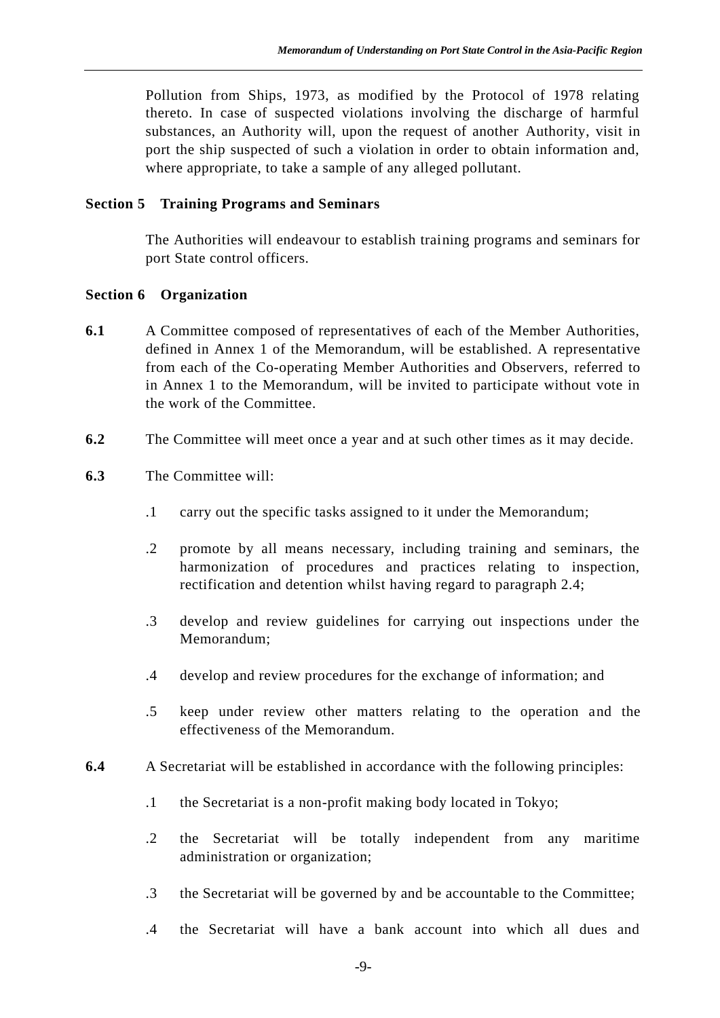Pollution from Ships, 1973, as modified by the Protocol of 1978 relating thereto. In case of suspected violations involving the discharge of harmful substances, an Authority will, upon the request of another Authority, visit in port the ship suspected of such a violation in order to obtain information and, where appropriate, to take a sample of any alleged pollutant.

#### **Section 5 Training Programs and Seminars**

The Authorities will endeavour to establish training programs and seminars for port State control officers.

#### **Section 6 Organization**

- **6.1** A Committee composed of representatives of each of the Member Authorities, defined in Annex 1 of the Memorandum, will be established. A representative from each of the Co-operating Member Authorities and Observers, referred to in Annex 1 to the Memorandum, will be invited to participate without vote in the work of the Committee.
- **6.2** The Committee will meet once a year and at such other times as it may decide.
- **6.3** The Committee will:
	- .1 carry out the specific tasks assigned to it under the Memorandum;
	- .2 promote by all means necessary, including training and seminars, the harmonization of procedures and practices relating to inspection, rectification and detention whilst having regard to paragraph 2.4;
	- .3 develop and review guidelines for carrying out inspections under the Memorandum;
	- .4 develop and review procedures for the exchange of information; and
	- .5 keep under review other matters relating to the operation and the effectiveness of the Memorandum.
- **6.4** A Secretariat will be established in accordance with the following principles:
	- .1 the Secretariat is a non-profit making body located in Tokyo;
	- .2 the Secretariat will be totally independent from any maritime administration or organization;
	- .3 the Secretariat will be governed by and be accountable to the Committee;
	- .4 the Secretariat will have a bank account into which all dues and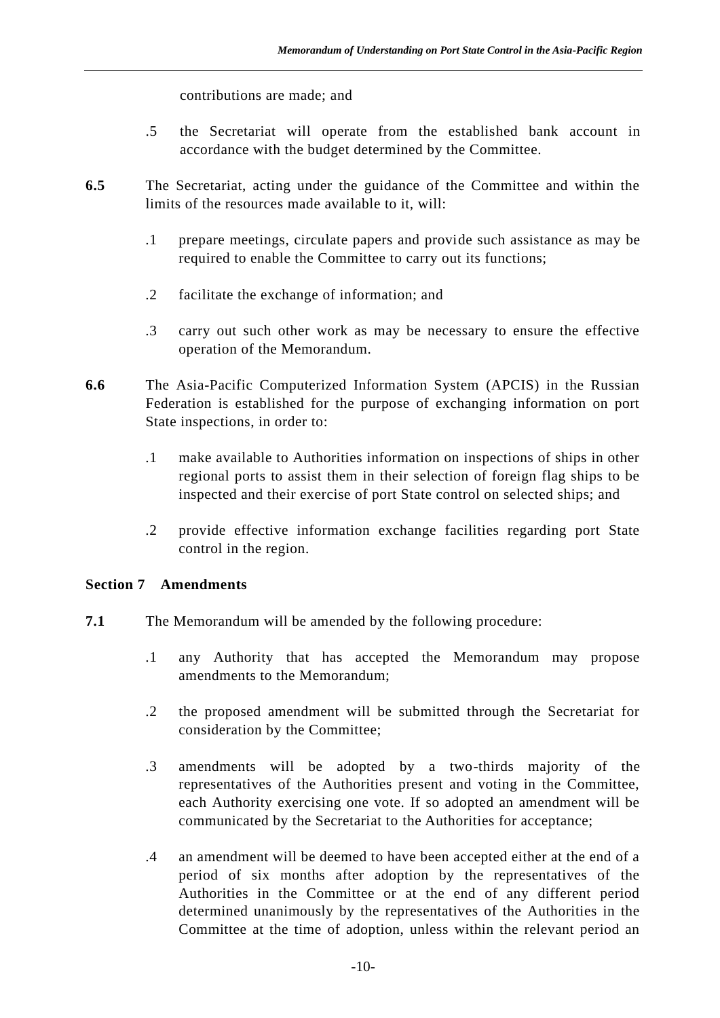contributions are made; and

- .5 the Secretariat will operate from the established bank account in accordance with the budget determined by the Committee.
- **6.5** The Secretariat, acting under the guidance of the Committee and within the limits of the resources made available to it, will:
	- .1 prepare meetings, circulate papers and provide such assistance as may be required to enable the Committee to carry out its functions;
	- .2 facilitate the exchange of information; and
	- .3 carry out such other work as may be necessary to ensure the effective operation of the Memorandum.
- **6.6** The Asia-Pacific Computerized Information System (APCIS) in the Russian Federation is established for the purpose of exchanging information on port State inspections, in order to:
	- .1 make available to Authorities information on inspections of ships in other regional ports to assist them in their selection of foreign flag ships to be inspected and their exercise of port State control on selected ships; and
	- .2 provide effective information exchange facilities regarding port State control in the region.

## **Section 7 Amendments**

- **7.1** The Memorandum will be amended by the following procedure:
	- .1 any Authority that has accepted the Memorandum may propose amendments to the Memorandum;
	- .2 the proposed amendment will be submitted through the Secretariat for consideration by the Committee;
	- .3 amendments will be adopted by a two-thirds majority of the representatives of the Authorities present and voting in the Committee, each Authority exercising one vote. If so adopted an amendment will be communicated by the Secretariat to the Authorities for acceptance;
	- .4 an amendment will be deemed to have been accepted either at the end of a period of six months after adoption by the representatives of the Authorities in the Committee or at the end of any different period determined unanimously by the representatives of the Authorities in the Committee at the time of adoption, unless within the relevant period an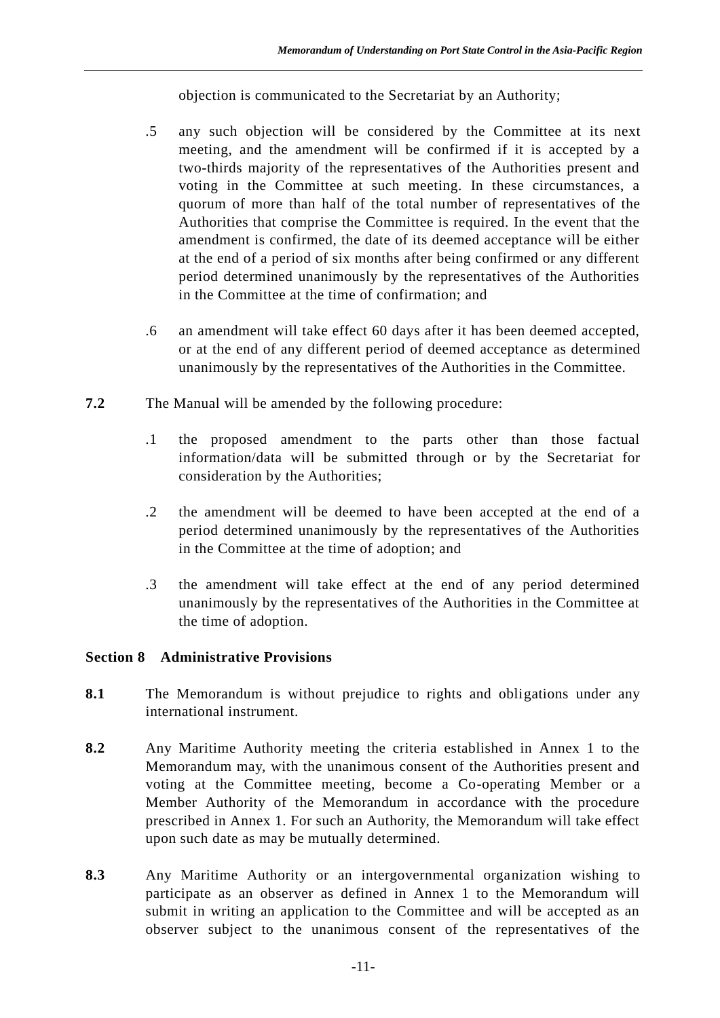objection is communicated to the Secretariat by an Authority;

- .5 any such objection will be considered by the Committee at its next meeting, and the amendment will be confirmed if it is accepted by a two-thirds majority of the representatives of the Authorities present and voting in the Committee at such meeting. In these circumstances, a quorum of more than half of the total number of representatives of the Authorities that comprise the Committee is required. In the event that the amendment is confirmed, the date of its deemed acceptance will be either at the end of a period of six months after being confirmed or any different period determined unanimously by the representatives of the Authorities in the Committee at the time of confirmation; and
- .6 an amendment will take effect 60 days after it has been deemed accepted, or at the end of any different period of deemed acceptance as determined unanimously by the representatives of the Authorities in the Committee.
- **7.2** The Manual will be amended by the following procedure:
	- .1 the proposed amendment to the parts other than those factual information/data will be submitted through or by the Secretariat for consideration by the Authorities;
	- .2 the amendment will be deemed to have been accepted at the end of a period determined unanimously by the representatives of the Authorities in the Committee at the time of adoption; and
	- .3 the amendment will take effect at the end of any period determined unanimously by the representatives of the Authorities in the Committee at the time of adoption.

## **Section 8 Administrative Provisions**

- **8.1** The Memorandum is without prejudice to rights and obligations under any international instrument.
- **8.2** Any Maritime Authority meeting the criteria established in Annex 1 to the Memorandum may, with the unanimous consent of the Authorities present and voting at the Committee meeting, become a Co-operating Member or a Member Authority of the Memorandum in accordance with the procedure prescribed in Annex 1. For such an Authority, the Memorandum will take effect upon such date as may be mutually determined.
- **8.3** Any Maritime Authority or an intergovernmental organization wishing to participate as an observer as defined in Annex 1 to the Memorandum will submit in writing an application to the Committee and will be accepted as an observer subject to the unanimous consent of the representatives of the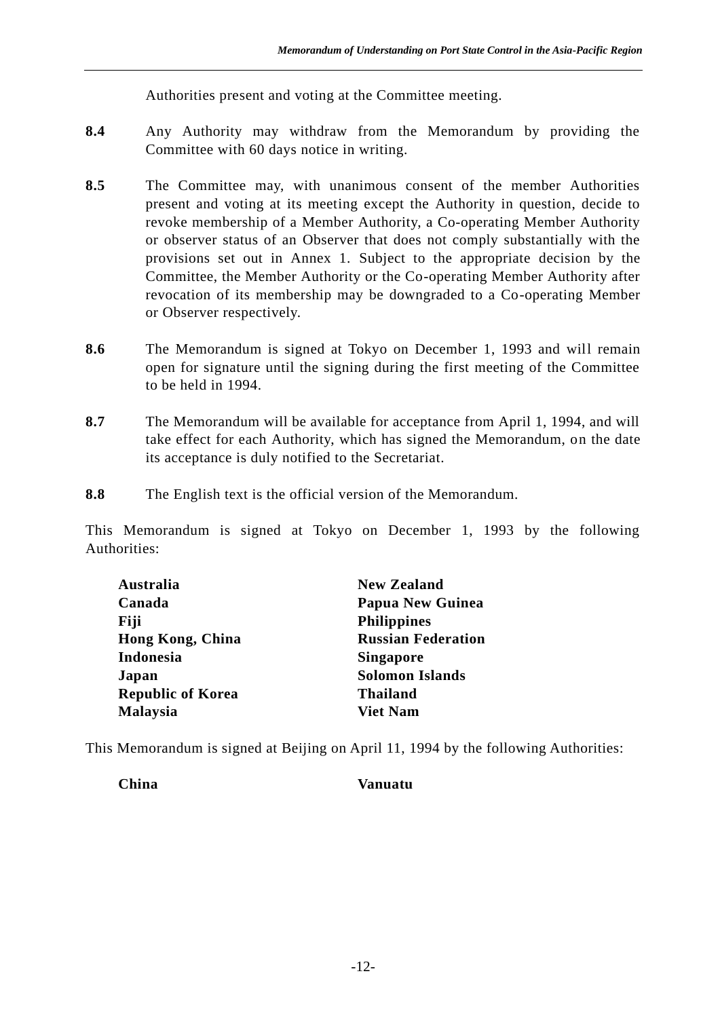Authorities present and voting at the Committee meeting.

- **8.4** Any Authority may withdraw from the Memorandum by providing the Committee with 60 days notice in writing.
- **8.5** The Committee may, with unanimous consent of the member Authorities present and voting at its meeting except the Authority in question, decide to revoke membership of a Member Authority, a Co-operating Member Authority or observer status of an Observer that does not comply substantially with the provisions set out in Annex 1. Subject to the appropriate decision by the Committee, the Member Authority or the Co-operating Member Authority after revocation of its membership may be downgraded to a Co-operating Member or Observer respectively.
- **8.6** The Memorandum is signed at Tokyo on December 1, 1993 and will remain open for signature until the signing during the first meeting of the Committee to be held in 1994.
- **8.7** The Memorandum will be available for acceptance from April 1, 1994, and will take effect for each Authority, which has signed the Memorandum, on the date its acceptance is duly notified to the Secretariat.
- **8.8** The English text is the official version of the Memorandum.

This Memorandum is signed at Tokyo on December 1, 1993 by the following Authorities:

| Australia                | <b>New Zealand</b>        |
|--------------------------|---------------------------|
| Canada                   | Papua New Guinea          |
| Fiji                     | <b>Philippines</b>        |
| <b>Hong Kong, China</b>  | <b>Russian Federation</b> |
| Indonesia                | <b>Singapore</b>          |
| Japan                    | <b>Solomon Islands</b>    |
| <b>Republic of Korea</b> | <b>Thailand</b>           |
| Malaysia                 | <b>Viet Nam</b>           |

This Memorandum is signed at Beijing on April 11, 1994 by the following Authorities:

**China Vanuatu**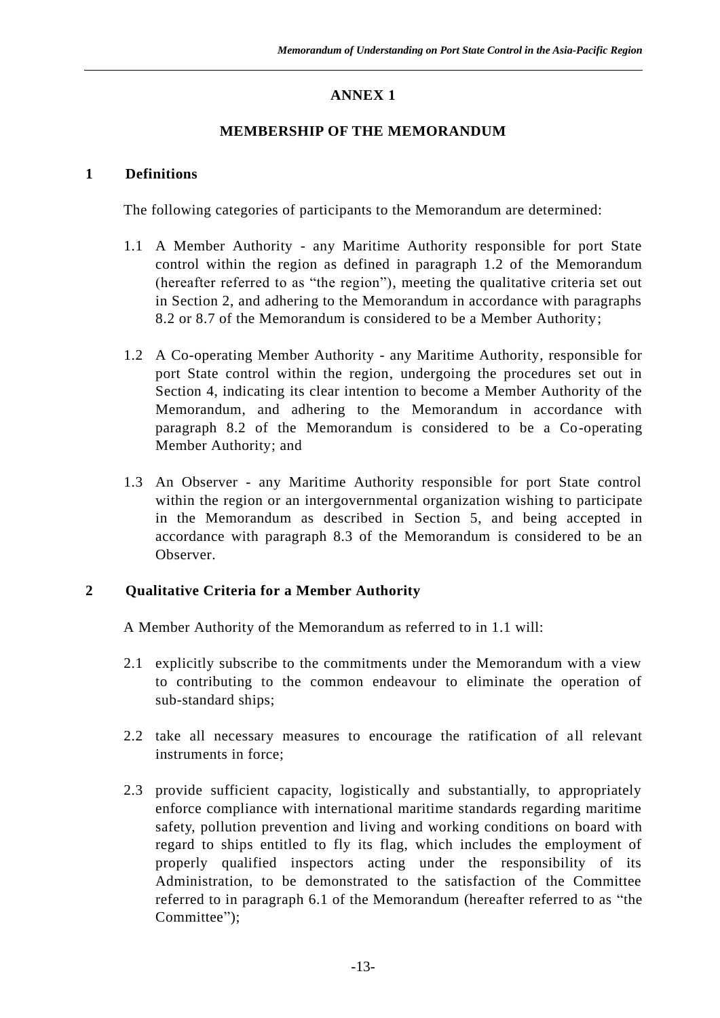# **ANNEX 1**

# **MEMBERSHIP OF THE MEMORANDUM**

## **1 Definitions**

The following categories of participants to the Memorandum are determined:

- 1.1 A Member Authority any Maritime Authority responsible for port State control within the region as defined in paragraph 1.2 of the Memorandum (hereafter referred to as "the region"), meeting the qualitative criteria set out in Section 2, and adhering to the Memorandum in accordance with paragraphs 8.2 or 8.7 of the Memorandum is considered to be a Member Authority;
- 1.2 A Co-operating Member Authority any Maritime Authority, responsible for port State control within the region, undergoing the procedures set out in Section 4, indicating its clear intention to become a Member Authority of the Memorandum, and adhering to the Memorandum in accordance with paragraph 8.2 of the Memorandum is considered to be a Co-operating Member Authority; and
- 1.3 An Observer any Maritime Authority responsible for port State control within the region or an intergovernmental organization wishing to participate in the Memorandum as described in Section 5, and being accepted in accordance with paragraph 8.3 of the Memorandum is considered to be an Observer.

# **2 Qualitative Criteria for a Member Authority**

A Member Authority of the Memorandum as referred to in 1.1 will:

- 2.1 explicitly subscribe to the commitments under the Memorandum with a view to contributing to the common endeavour to eliminate the operation of sub-standard ships;
- 2.2 take all necessary measures to encourage the ratification of all relevant instruments in force;
- 2.3 provide sufficient capacity, logistically and substantially, to appropriately enforce compliance with international maritime standards regarding maritime safety, pollution prevention and living and working conditions on board with regard to ships entitled to fly its flag, which includes the employment of properly qualified inspectors acting under the responsibility of its Administration, to be demonstrated to the satisfaction of the Committee referred to in paragraph 6.1 of the Memorandum (hereafter referred to as "the Committee");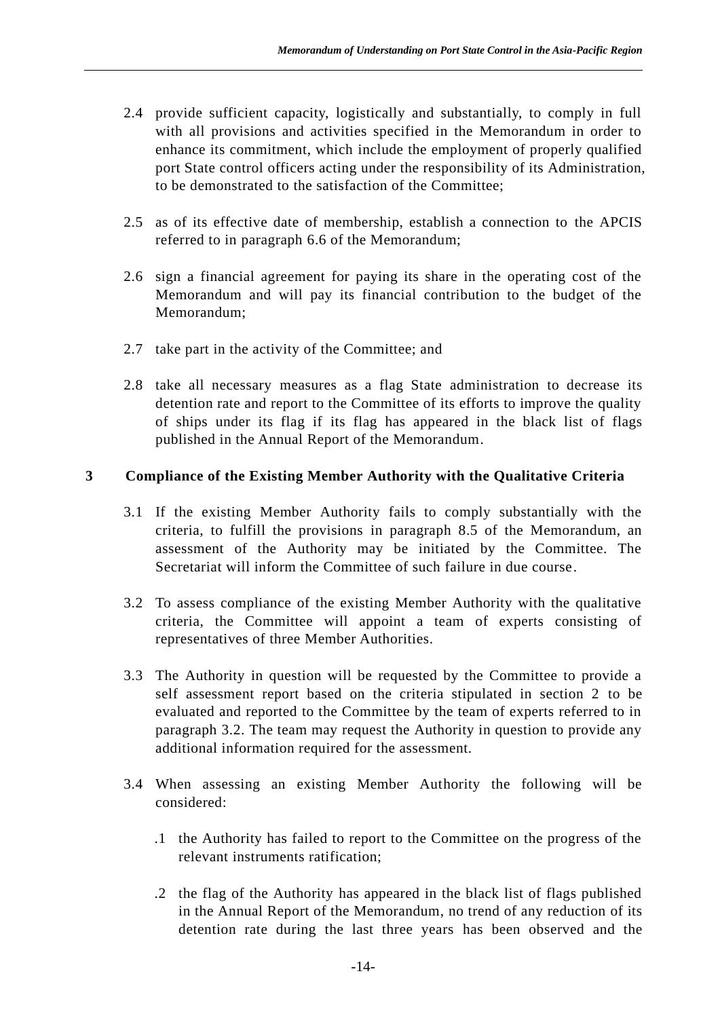- 2.4 provide sufficient capacity, logistically and substantially, to comply in full with all provisions and activities specified in the Memorandum in order to enhance its commitment, which include the employment of properly qualified port State control officers acting under the responsibility of its Administration, to be demonstrated to the satisfaction of the Committee;
- 2.5 as of its effective date of membership, establish a connection to the APCIS referred to in paragraph 6.6 of the Memorandum;
- 2.6 sign a financial agreement for paying its share in the operating cost of the Memorandum and will pay its financial contribution to the budget of the Memorandum;
- 2.7 take part in the activity of the Committee; and
- 2.8 take all necessary measures as a flag State administration to decrease its detention rate and report to the Committee of its efforts to improve the quality of ships under its flag if its flag has appeared in the black list of flags published in the Annual Report of the Memorandum.

## **3 Compliance of the Existing Member Authority with the Qualitative Criteria**

- 3.1 If the existing Member Authority fails to comply substantially with the criteria, to fulfill the provisions in paragraph 8.5 of the Memorandum, an assessment of the Authority may be initiated by the Committee. The Secretariat will inform the Committee of such failure in due course.
- 3.2 To assess compliance of the existing Member Authority with the qualitative criteria, the Committee will appoint a team of experts consisting of representatives of three Member Authorities.
- 3.3 The Authority in question will be requested by the Committee to provide a self assessment report based on the criteria stipulated in section 2 to be evaluated and reported to the Committee by the team of experts referred to in paragraph 3.2. The team may request the Authority in question to provide any additional information required for the assessment.
- 3.4 When assessing an existing Member Authority the following will be considered:
	- .1 the Authority has failed to report to the Committee on the progress of the relevant instruments ratification;
	- .2 the flag of the Authority has appeared in the black list of flags published in the Annual Report of the Memorandum, no trend of any reduction of its detention rate during the last three years has been observed and the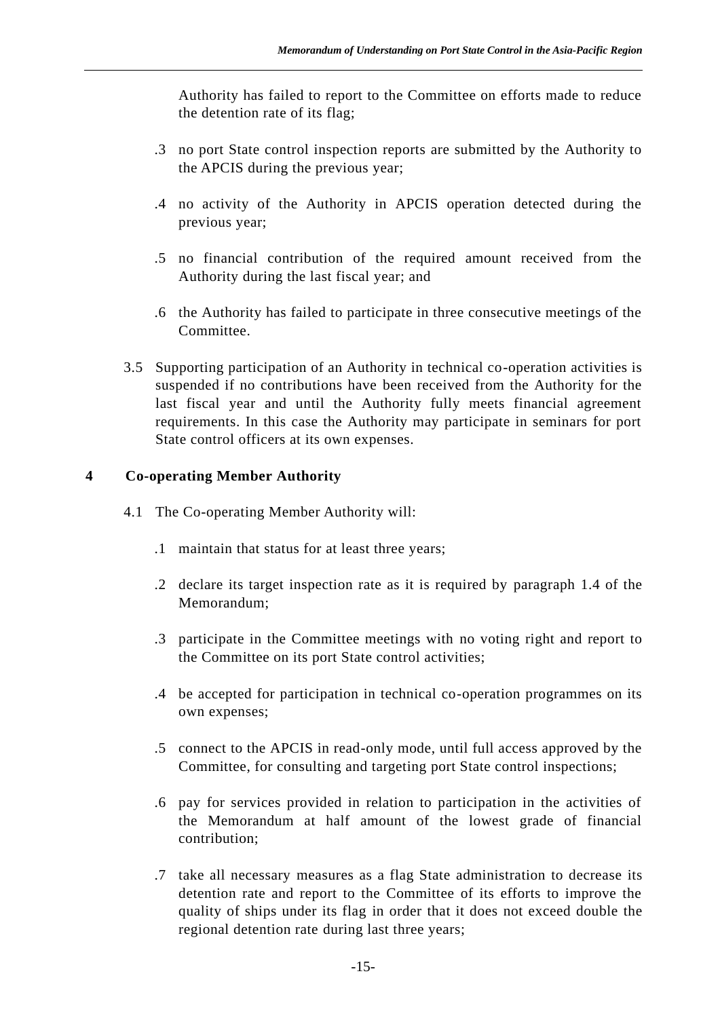Authority has failed to report to the Committee on efforts made to reduce the detention rate of its flag;

- .3 no port State control inspection reports are submitted by the Authority to the APCIS during the previous year;
- .4 no activity of the Authority in APCIS operation detected during the previous year;
- .5 no financial contribution of the required amount received from the Authority during the last fiscal year; and
- .6 the Authority has failed to participate in three consecutive meetings of the Committee.
- 3.5 Supporting participation of an Authority in technical co-operation activities is suspended if no contributions have been received from the Authority for the last fiscal year and until the Authority fully meets financial agreement requirements. In this case the Authority may participate in seminars for port State control officers at its own expenses.

#### **4 Co-operating Member Authority**

- 4.1 The Co-operating Member Authority will:
	- .1 maintain that status for at least three years;
	- .2 declare its target inspection rate as it is required by paragraph 1.4 of the Memorandum;
	- .3 participate in the Committee meetings with no voting right and report to the Committee on its port State control activities;
	- .4 be accepted for participation in technical co-operation programmes on its own expenses;
	- .5 connect to the APCIS in read-only mode, until full access approved by the Committee, for consulting and targeting port State control inspections;
	- .6 pay for services provided in relation to participation in the activities of the Memorandum at half amount of the lowest grade of financial contribution;
	- .7 take all necessary measures as a flag State administration to decrease its detention rate and report to the Committee of its efforts to improve the quality of ships under its flag in order that it does not exceed double the regional detention rate during last three years;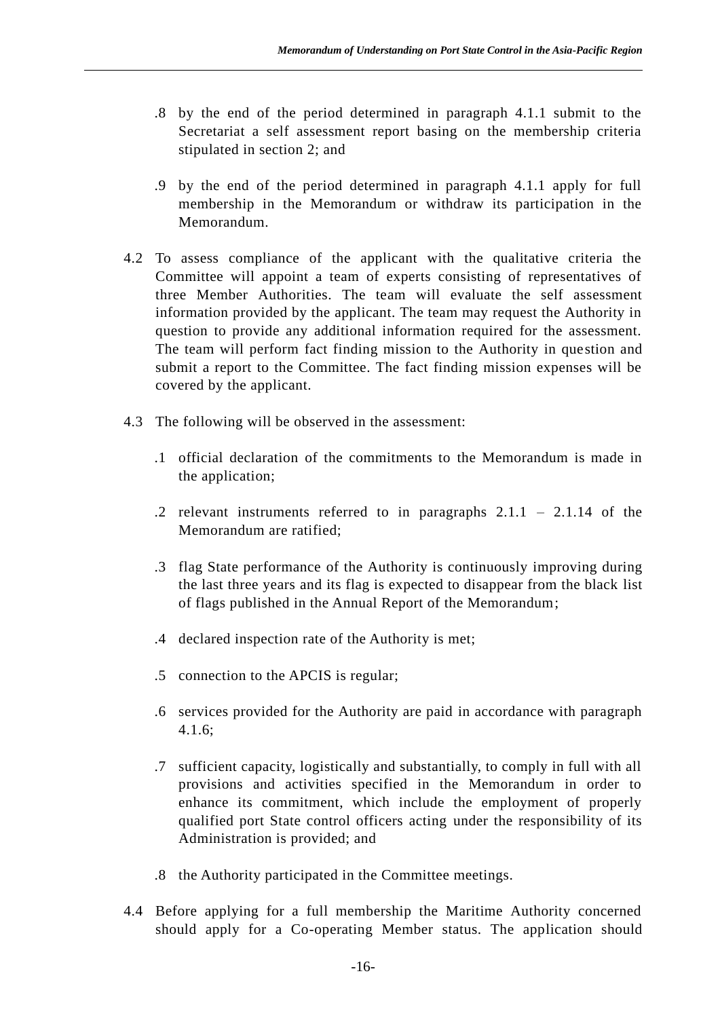- .8 by the end of the period determined in paragraph 4.1.1 submit to the Secretariat a self assessment report basing on the membership criteria stipulated in section 2; and
- .9 by the end of the period determined in paragraph 4.1.1 apply for full membership in the Memorandum or withdraw its participation in the Memorandum.
- 4.2 To assess compliance of the applicant with the qualitative criteria the Committee will appoint a team of experts consisting of representatives of three Member Authorities. The team will evaluate the self assessment information provided by the applicant. The team may request the Authority in question to provide any additional information required for the assessment. The team will perform fact finding mission to the Authority in question and submit a report to the Committee. The fact finding mission expenses will be covered by the applicant.
- 4.3 The following will be observed in the assessment:
	- .1 official declaration of the commitments to the Memorandum is made in the application;
	- .2 relevant instruments referred to in paragraphs 2.1.1 2.1.14 of the Memorandum are ratified;
	- .3 flag State performance of the Authority is continuously improving during the last three years and its flag is expected to disappear from the black list of flags published in the Annual Report of the Memorandum;
	- .4 declared inspection rate of the Authority is met;
	- .5 connection to the APCIS is regular;
	- .6 services provided for the Authority are paid in accordance with paragraph 4.1.6;
	- .7 sufficient capacity, logistically and substantially, to comply in full with all provisions and activities specified in the Memorandum in order to enhance its commitment, which include the employment of properly qualified port State control officers acting under the responsibility of its Administration is provided; and
	- .8 the Authority participated in the Committee meetings.
- 4.4 Before applying for a full membership the Maritime Authority concerned should apply for a Co-operating Member status. The application should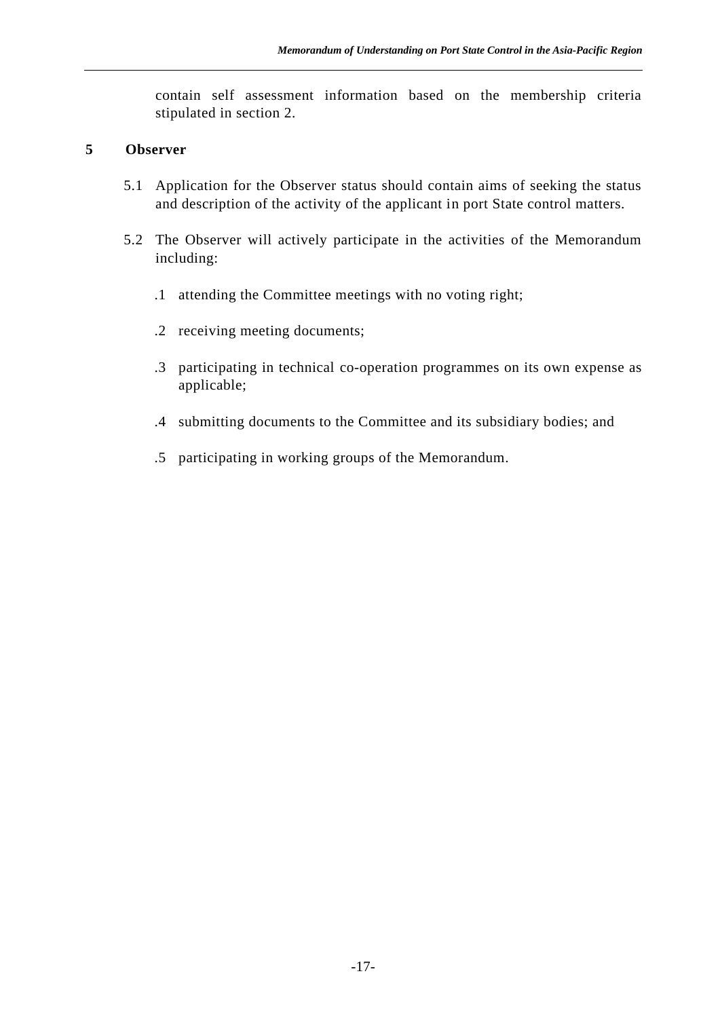contain self assessment information based on the membership criteria stipulated in section 2.

### **5 Observer**

- 5.1 Application for the Observer status should contain aims of seeking the status and description of the activity of the applicant in port State control matters.
- 5.2 The Observer will actively participate in the activities of the Memorandum including:
	- .1 attending the Committee meetings with no voting right;
	- .2 receiving meeting documents;
	- .3 participating in technical co-operation programmes on its own expense as applicable;
	- .4 submitting documents to the Committee and its subsidiary bodies; and
	- .5 participating in working groups of the Memorandum.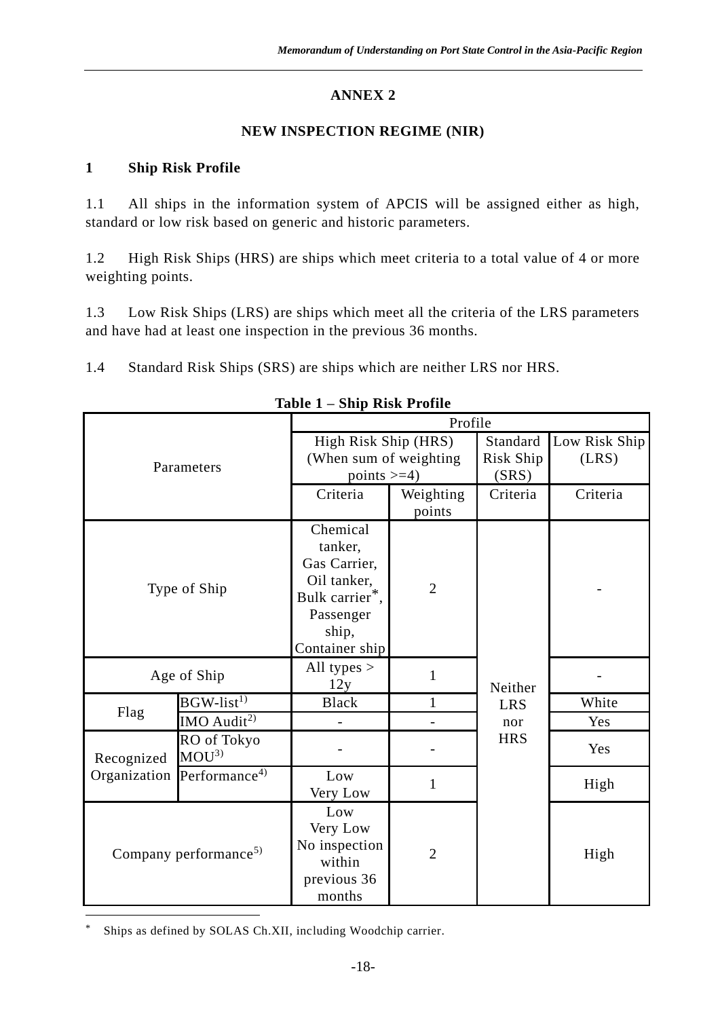## **ANNEX 2**

## **NEW INSPECTION REGIME (NIR)**

## **1 Ship Risk Profile**

1.1 All ships in the information system of APCIS will be assigned either as high, standard or low risk based on generic and historic parameters.

1.2 High Risk Ships (HRS) are ships which meet criteria to a total value of 4 or more weighting points.

1.3 Low Risk Ships (LRS) are ships which meet all the criteria of the LRS parameters and have had at least one inspection in the previous 36 months.

1.4 Standard Risk Ships (SRS) are ships which are neither LRS nor HRS.

|                                   |                           | Profile                 |                |            |               |
|-----------------------------------|---------------------------|-------------------------|----------------|------------|---------------|
|                                   |                           | High Risk Ship (HRS)    |                | Standard   | Low Risk Ship |
|                                   | Parameters                | (When sum of weighting) |                | Risk Ship  | (LRS)         |
|                                   |                           | points $>=$ 4)          |                | (SRS)      |               |
|                                   |                           | Criteria                | Weighting      | Criteria   | Criteria      |
|                                   |                           |                         | points         |            |               |
|                                   |                           | Chemical                |                |            |               |
|                                   |                           | tanker,                 |                |            |               |
|                                   |                           | Gas Carrier,            |                |            |               |
|                                   | Type of Ship              | Oil tanker,             | $\overline{2}$ |            |               |
|                                   |                           | Bulk carrier*,          |                |            |               |
|                                   |                           | Passenger               |                |            |               |
|                                   |                           | ship,                   |                |            |               |
|                                   |                           | Container ship          |                |            |               |
| Age of Ship                       |                           | All types $>$           | $\mathbf{1}$   |            |               |
|                                   |                           | 12y                     |                | Neither    |               |
| Flag                              | $BGW-list1$               | <b>Black</b>            | $\mathbf{1}$   | <b>LRS</b> | White         |
|                                   | IMO Audit $^{2)}$         |                         |                | nor        | Yes           |
|                                   | RO of Tokyo               |                         |                | <b>HRS</b> | Yes           |
| Recognized                        | $MOU^{3}$                 |                         |                |            |               |
| Organization                      | Performance <sup>4)</sup> | Low                     | $\mathbf{1}$   |            | High          |
|                                   |                           | Very Low                |                |            |               |
| Company performance <sup>5)</sup> |                           | Low                     |                |            |               |
|                                   |                           | Very Low                |                |            |               |
|                                   |                           | No inspection           | $\overline{2}$ |            | High          |
|                                   |                           | within                  |                |            |               |
|                                   |                           | previous 36             |                |            |               |
|                                   |                           | months                  |                |            |               |

Ships as defined by SOLAS Ch.XII, including Woodchip carrier.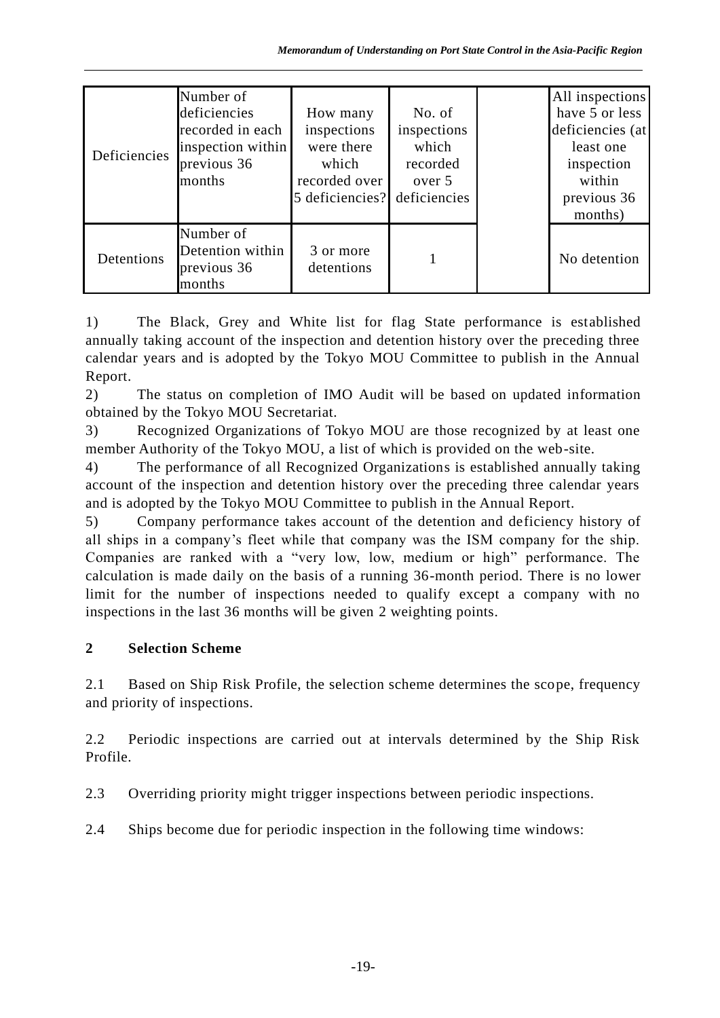| Deficiencies | Number of<br>deficiencies<br>recorded in each<br>inspection within<br>previous 36<br>months | How many<br>inspections<br>were there<br>which<br>recorded over<br>5 deficiencies? deficiencies | No. of<br>inspections<br>which<br>recorded<br>over 5 | All inspections<br>have 5 or less<br>deficiencies (at<br>least one<br>inspection<br>within<br>previous 36<br>months) |
|--------------|---------------------------------------------------------------------------------------------|-------------------------------------------------------------------------------------------------|------------------------------------------------------|----------------------------------------------------------------------------------------------------------------------|
| Detentions   | Number of<br>Detention within<br>previous 36<br>months                                      | 3 or more<br>detentions                                                                         |                                                      | No detention                                                                                                         |

1) The Black, Grey and White list for flag State performance is established annually taking account of the inspection and detention history over the preceding three calendar years and is adopted by the Tokyo MOU Committee to publish in the Annual Report.

2) The status on completion of IMO Audit will be based on updated information obtained by the Tokyo MOU Secretariat.

3) Recognized Organizations of Tokyo MOU are those recognized by at least one member Authority of the Tokyo MOU, a list of which is provided on the web-site.

4) The performance of all Recognized Organizations is established annually taking account of the inspection and detention history over the preceding three calendar years and is adopted by the Tokyo MOU Committee to publish in the Annual Report.

5) Company performance takes account of the detention and deficiency history of all ships in a company's fleet while that company was the ISM company for the ship. Companies are ranked with a "very low, low, medium or high" performance. The calculation is made daily on the basis of a running 36-month period. There is no lower limit for the number of inspections needed to qualify except a company with no inspections in the last 36 months will be given 2 weighting points.

# **2 Selection Scheme**

2.1 Based on Ship Risk Profile, the selection scheme determines the scope, frequency and priority of inspections.

2.2 Periodic inspections are carried out at intervals determined by the Ship Risk Profile.

2.3 Overriding priority might trigger inspections between periodic inspections.

2.4 Ships become due for periodic inspection in the following time windows: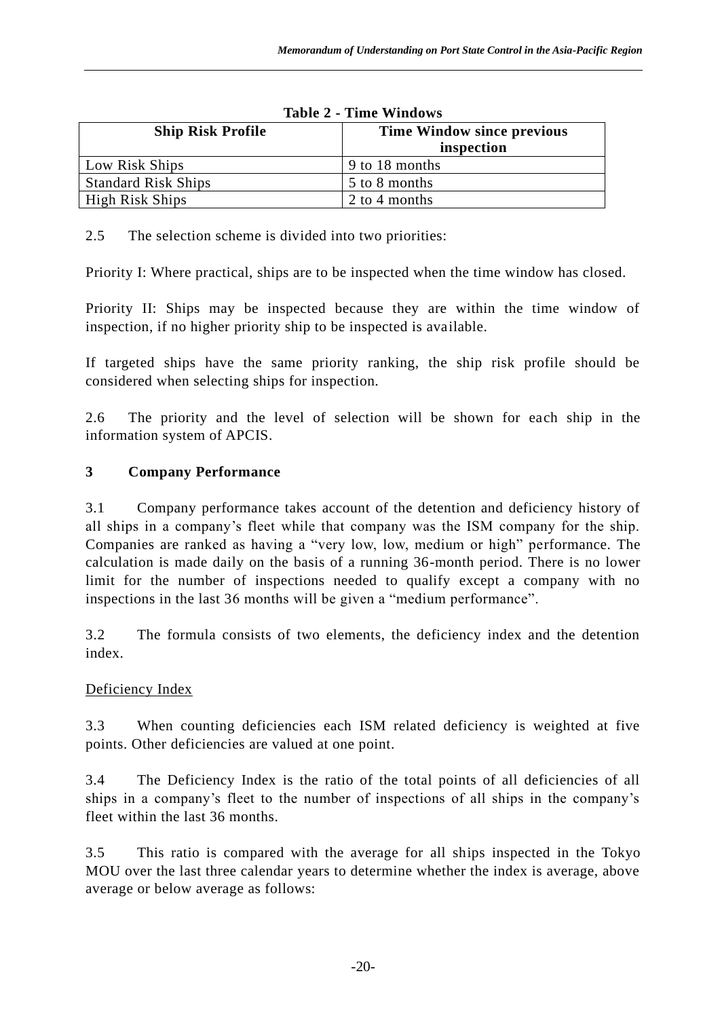| <b>Ship Risk Profile</b>   | <b>Time Window since previous</b><br>inspection |  |
|----------------------------|-------------------------------------------------|--|
| Low Risk Ships             | 9 to 18 months                                  |  |
| <b>Standard Risk Ships</b> | 5 to 8 months                                   |  |
| High Risk Ships            | 2 to 4 months                                   |  |

|  | <b>Table 2 - Time Windows</b> |
|--|-------------------------------|
|  |                               |

2.5 The selection scheme is divided into two priorities:

Priority I: Where practical, ships are to be inspected when the time window has closed.

Priority II: Ships may be inspected because they are within the time window of inspection, if no higher priority ship to be inspected is available.

If targeted ships have the same priority ranking, the ship risk profile should be considered when selecting ships for inspection.

2.6 The priority and the level of selection will be shown for each ship in the information system of APCIS.

# **3 Company Performance**

3.1 Company performance takes account of the detention and deficiency history of all ships in a company's fleet while that company was the ISM company for the ship. Companies are ranked as having a "very low, low, medium or high" performance. The calculation is made daily on the basis of a running 36-month period. There is no lower limit for the number of inspections needed to qualify except a company with no inspections in the last 36 months will be given a "medium performance".

3.2 The formula consists of two elements, the deficiency index and the detention index.

# Deficiency Index

3.3 When counting deficiencies each ISM related deficiency is weighted at five points. Other deficiencies are valued at one point.

3.4 The Deficiency Index is the ratio of the total points of all deficiencies of all ships in a company's fleet to the number of inspections of all ships in the company's fleet within the last 36 months.

3.5 This ratio is compared with the average for all ships inspected in the Tokyo MOU over the last three calendar years to determine whether the index is average, above average or below average as follows: